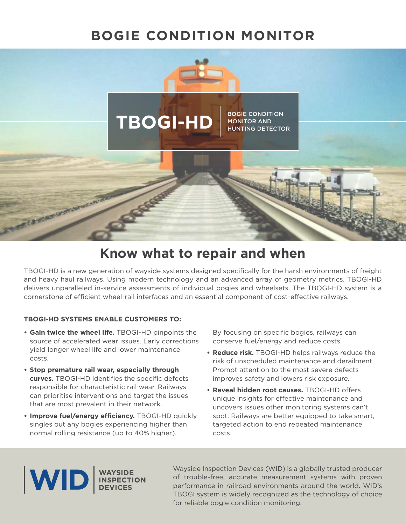# **BOGIE CONDITION MONITOR**



# **Know what to repair and when**

TBOGI-HD is a new generation of wayside systems designed specifcally for the harsh environments of freight and heavy haul railways. Using modern technology and an advanced array of geometry metrics, TBOGI-HD delivers unparalleled in-service assessments of individual bogies and wheelsets. The TBOGI-HD system is a cornerstone of efficient wheel-rail interfaces and an essential component of cost-effective railways.

#### **TBOGI-HD SYSTEMS ENABLE CUSTOMERS TO:**

- **Gain twice the wheel life.** TBOGI-HD pinpoints the source of accelerated wear issues. Early corrections yield longer wheel life and lower maintenance costs.
- **Stop premature rail wear, especially through**  curves. TBOGI-HD identifies the specific defects responsible for characteristic rail wear. Railways can prioritise interventions and target the issues that are most prevalent in their network.
- Improve fuel/energy efficiency. TBOGI-HD quickly singles out any bogies experiencing higher than normal rolling resistance (up to 40% higher).

By focusing on specific bogies, railways can conserve fuel/energy and reduce costs.

- **Reduce risk.** TBOGI-HD helps railways reduce the risk of unscheduled maintenance and derailment. Prompt attention to the most severe defects improves safety and lowers risk exposure.
- **Reveal hidden root causes.** TBOGI-HD offers unique insights for efective maintenance and uncovers issues other monitoring systems can't spot. Railways are better equipped to take smart, targeted action to end repeated maintenance costs.



Wayside Inspection Devices (WID) is a globally trusted producer of trouble-free, accurate measurement systems with proven performance in railroad environments around the world. WID's TBOGI system is widely recognized as the technology of choice for reliable bogie condition monitoring.